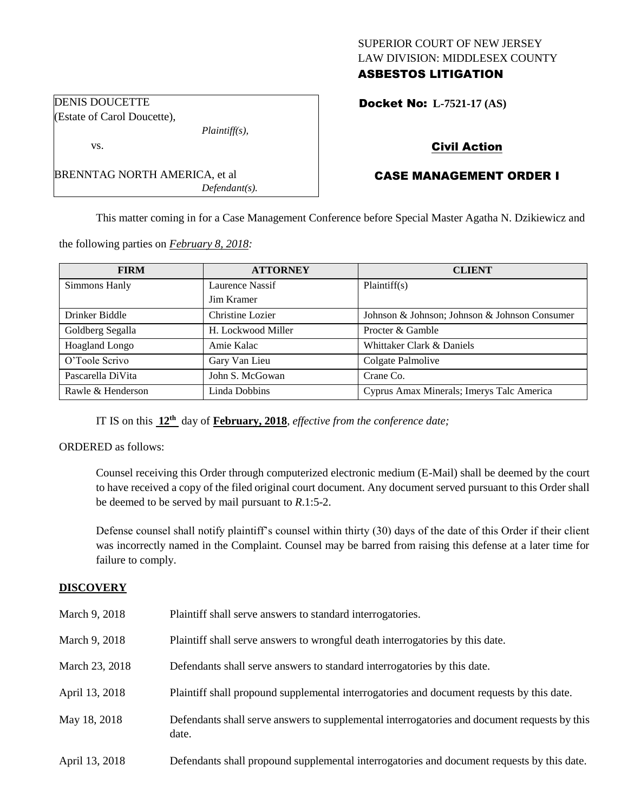# SUPERIOR COURT OF NEW JERSEY LAW DIVISION: MIDDLESEX COUNTY ASBESTOS LITIGATION

Docket No: **L-7521-17 (AS)** 

# Civil Action

# CASE MANAGEMENT ORDER I

This matter coming in for a Case Management Conference before Special Master Agatha N. Dzikiewicz and

the following parties on *February 8, 2018:*

BRENNTAG NORTH AMERICA, et al

*Plaintiff(s),*

*Defendant(s).*

| <b>FIRM</b>       | <b>ATTORNEY</b>    | <b>CLIENT</b>                                 |  |
|-------------------|--------------------|-----------------------------------------------|--|
| Simmons Hanly     | Laurence Nassif    | Plaintiff(s)                                  |  |
|                   | Jim Kramer         |                                               |  |
| Drinker Biddle    | Christine Lozier   | Johnson & Johnson; Johnson & Johnson Consumer |  |
| Goldberg Segalla  | H. Lockwood Miller | Procter & Gamble                              |  |
| Hoagland Longo    | Amie Kalac         | Whittaker Clark & Daniels                     |  |
| O'Toole Scrivo    | Gary Van Lieu      | Colgate Palmolive                             |  |
| Pascarella DiVita | John S. McGowan    | Crane Co.                                     |  |
| Rawle & Henderson | Linda Dobbins      | Cyprus Amax Minerals; Imerys Talc America     |  |

IT IS on this **12th** day of **February, 2018**, *effective from the conference date;*

ORDERED as follows:

Counsel receiving this Order through computerized electronic medium (E-Mail) shall be deemed by the court to have received a copy of the filed original court document. Any document served pursuant to this Order shall be deemed to be served by mail pursuant to *R*.1:5-2.

Defense counsel shall notify plaintiff's counsel within thirty (30) days of the date of this Order if their client was incorrectly named in the Complaint. Counsel may be barred from raising this defense at a later time for failure to comply.

## **DISCOVERY**

| March 9, 2018  | Plaintiff shall serve answers to standard interrogatories.                                            |
|----------------|-------------------------------------------------------------------------------------------------------|
| March 9, 2018  | Plaintiff shall serve answers to wrongful death interrogatories by this date.                         |
| March 23, 2018 | Defendants shall serve answers to standard interrogatories by this date.                              |
| April 13, 2018 | Plaintiff shall propound supplemental interrogatories and document requests by this date.             |
| May 18, 2018   | Defendants shall serve answers to supplemental interrogatories and document requests by this<br>date. |
| April 13, 2018 | Defendants shall propound supplemental interrogatories and document requests by this date.            |

DENIS DOUCETTE (Estate of Carol Doucette),

vs.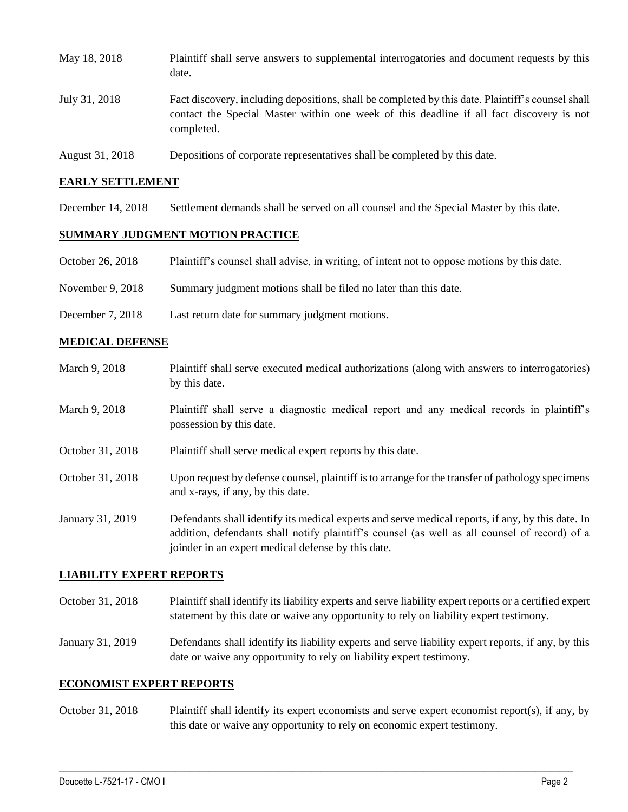| May 18, 2018    | Plaintiff shall serve answers to supplemental interrogatories and document requests by this<br>date.                                                                                                        |
|-----------------|-------------------------------------------------------------------------------------------------------------------------------------------------------------------------------------------------------------|
| July 31, 2018   | Fact discovery, including depositions, shall be completed by this date. Plaintiff's counsel shall<br>contact the Special Master within one week of this deadline if all fact discovery is not<br>completed. |
| August 31, 2018 | Depositions of corporate representatives shall be completed by this date.                                                                                                                                   |

### **EARLY SETTLEMENT**

December 14, 2018 Settlement demands shall be served on all counsel and the Special Master by this date.

### **SUMMARY JUDGMENT MOTION PRACTICE**

|  | October 26, 2018 | Plaintiff's counsel shall advise, in writing, of intent not to oppose motions by this date. |  |  |  |
|--|------------------|---------------------------------------------------------------------------------------------|--|--|--|
|--|------------------|---------------------------------------------------------------------------------------------|--|--|--|

- November 9, 2018 Summary judgment motions shall be filed no later than this date.
- December 7, 2018 Last return date for summary judgment motions.

#### **MEDICAL DEFENSE**

March 9, 2018 Plaintiff shall serve executed medical authorizations (along with answers to interrogatories) by this date. March 9, 2018 Plaintiff shall serve a diagnostic medical report and any medical records in plaintiff's possession by this date. October 31, 2018 Plaintiff shall serve medical expert reports by this date. October 31, 2018 Upon request by defense counsel, plaintiff is to arrange for the transfer of pathology specimens and x-rays, if any, by this date. January 31, 2019 Defendants shall identify its medical experts and serve medical reports, if any, by this date. In addition, defendants shall notify plaintiff's counsel (as well as all counsel of record) of a joinder in an expert medical defense by this date.

### **LIABILITY EXPERT REPORTS**

- October 31, 2018 Plaintiff shall identify its liability experts and serve liability expert reports or a certified expert statement by this date or waive any opportunity to rely on liability expert testimony.
- January 31, 2019 Defendants shall identify its liability experts and serve liability expert reports, if any, by this date or waive any opportunity to rely on liability expert testimony.

#### **ECONOMIST EXPERT REPORTS**

October 31, 2018 Plaintiff shall identify its expert economists and serve expert economist report(s), if any, by this date or waive any opportunity to rely on economic expert testimony.

 $\_$  ,  $\_$  ,  $\_$  ,  $\_$  ,  $\_$  ,  $\_$  ,  $\_$  ,  $\_$  ,  $\_$  ,  $\_$  ,  $\_$  ,  $\_$  ,  $\_$  ,  $\_$  ,  $\_$  ,  $\_$  ,  $\_$  ,  $\_$  ,  $\_$  ,  $\_$  ,  $\_$  ,  $\_$  ,  $\_$  ,  $\_$  ,  $\_$  ,  $\_$  ,  $\_$  ,  $\_$  ,  $\_$  ,  $\_$  ,  $\_$  ,  $\_$  ,  $\_$  ,  $\_$  ,  $\_$  ,  $\_$  ,  $\_$  ,